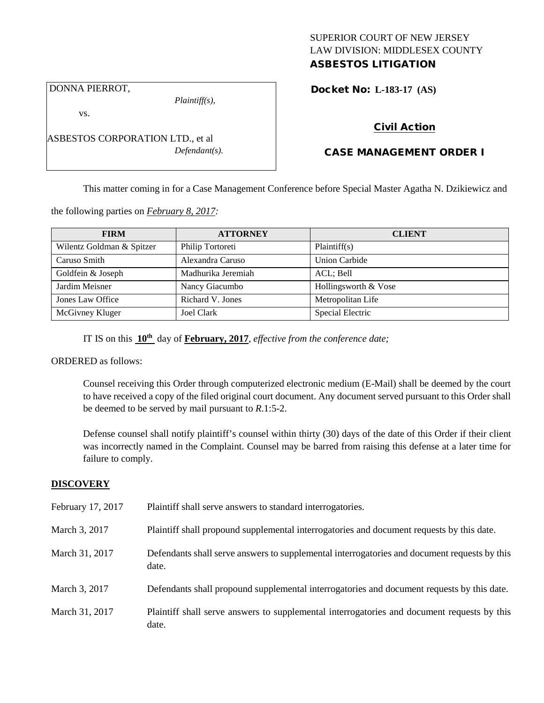## SUPERIOR COURT OF NEW JERSEY LAW DIVISION: MIDDLESEX COUNTY ASBESTOS LITIGATION

DONNA PIERROT,

*Plaintiff(s),*

Docket No: **L-183-17 (AS)** 

vs.

ASBESTOS CORPORATION LTD., et al *Defendant(s).*

## Civil Action

# CASE MANAGEMENT ORDER I

This matter coming in for a Case Management Conference before Special Master Agatha N. Dzikiewicz and

the following parties on *February 8, 2017:*

| <b>FIRM</b>               | <b>ATTORNEY</b>    | <b>CLIENT</b>        |
|---------------------------|--------------------|----------------------|
| Wilentz Goldman & Spitzer | Philip Tortoreti   | Plaintiff(s)         |
| Caruso Smith              | Alexandra Caruso   | Union Carbide        |
| Goldfein & Joseph         | Madhurika Jeremiah | ACL; Bell            |
| Jardim Meisner            | Nancy Giacumbo     | Hollingsworth & Vose |
| Jones Law Office          | Richard V. Jones   | Metropolitan Life    |
| McGivney Kluger           | <b>Joel Clark</b>  | Special Electric     |

IT IS on this **10th** day of **February, 2017**, *effective from the conference date;*

ORDERED as follows:

Counsel receiving this Order through computerized electronic medium (E-Mail) shall be deemed by the court to have received a copy of the filed original court document. Any document served pursuant to this Order shall be deemed to be served by mail pursuant to *R*.1:5-2.

Defense counsel shall notify plaintiff's counsel within thirty (30) days of the date of this Order if their client was incorrectly named in the Complaint. Counsel may be barred from raising this defense at a later time for failure to comply.

## **DISCOVERY**

| February 17, 2017 | Plaintiff shall serve answers to standard interrogatories.                                            |
|-------------------|-------------------------------------------------------------------------------------------------------|
| March 3, 2017     | Plaintiff shall propound supplemental interrogatories and document requests by this date.             |
| March 31, 2017    | Defendants shall serve answers to supplemental interrogatories and document requests by this<br>date. |
| March 3, 2017     | Defendants shall propound supplemental interrogatories and document requests by this date.            |
| March 31, 2017    | Plaintiff shall serve answers to supplemental interrogatories and document requests by this<br>date.  |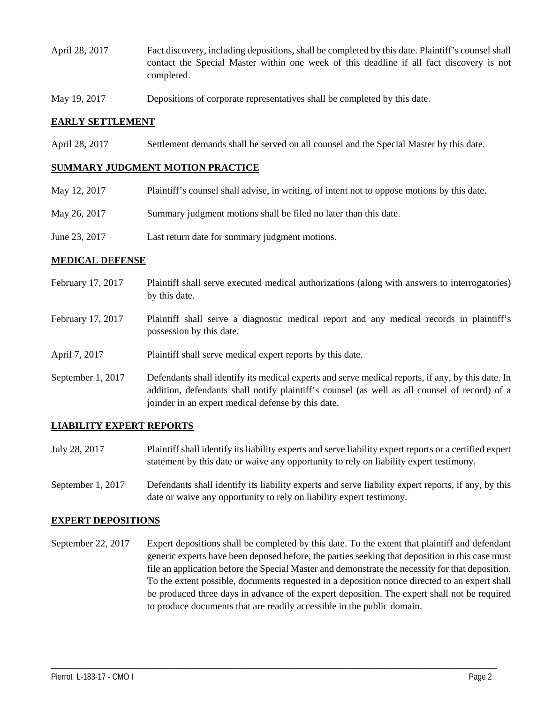- April 28, 2017 Fact discovery, including depositions, shall be completed by this date. Plaintiff's counsel shall contact the Special Master within one week of this deadline if all fact discovery is not completed.
- May 19, 2017 Depositions of corporate representatives shall be completed by this date.

### **EARLY SETTLEMENT**

April 28, 2017 Settlement demands shall be served on all counsel and the Special Master by this date.

#### **SUMMARY JUDGMENT MOTION PRACTICE**

| May 12, 2017  | Plaintiff's counsel shall advise, in writing, of intent not to oppose motions by this date. |
|---------------|---------------------------------------------------------------------------------------------|
| May 26, 2017  | Summary judgment motions shall be filed no later than this date.                            |
| June 23, 2017 | Last return date for summary judgment motions.                                              |

### **MEDICAL DEFENSE**

- February 17, 2017 Plaintiff shall serve executed medical authorizations (along with answers to interrogatories) by this date.
- February 17, 2017 Plaintiff shall serve a diagnostic medical report and any medical records in plaintiff's possession by this date.
- April 7, 2017 Plaintiff shall serve medical expert reports by this date.
- September 1, 2017 Defendants shall identify its medical experts and serve medical reports, if any, by this date. In addition, defendants shall notify plaintiff's counsel (as well as all counsel of record) of a joinder in an expert medical defense by this date.

#### **LIABILITY EXPERT REPORTS**

- July 28, 2017 Plaintiff shall identify its liability experts and serve liability expert reports or a certified expert statement by this date or waive any opportunity to rely on liability expert testimony.
- September 1, 2017 Defendants shall identify its liability experts and serve liability expert reports, if any, by this date or waive any opportunity to rely on liability expert testimony.

#### **EXPERT DEPOSITIONS**

September 22, 2017 Expert depositions shall be completed by this date. To the extent that plaintiff and defendant generic experts have been deposed before, the parties seeking that deposition in this case must file an application before the Special Master and demonstrate the necessity for that deposition. To the extent possible, documents requested in a deposition notice directed to an expert shall be produced three days in advance of the expert deposition. The expert shall not be required to produce documents that are readily accessible in the public domain.

\_\_\_\_\_\_\_\_\_\_\_\_\_\_\_\_\_\_\_\_\_\_\_\_\_\_\_\_\_\_\_\_\_\_\_\_\_\_\_\_\_\_\_\_\_\_\_\_\_\_\_\_\_\_\_\_\_\_\_\_\_\_\_\_\_\_\_\_\_\_\_\_\_\_\_\_\_\_\_\_\_\_\_\_\_\_\_\_\_\_\_\_\_\_\_\_\_\_\_\_\_\_\_\_\_\_\_\_\_\_